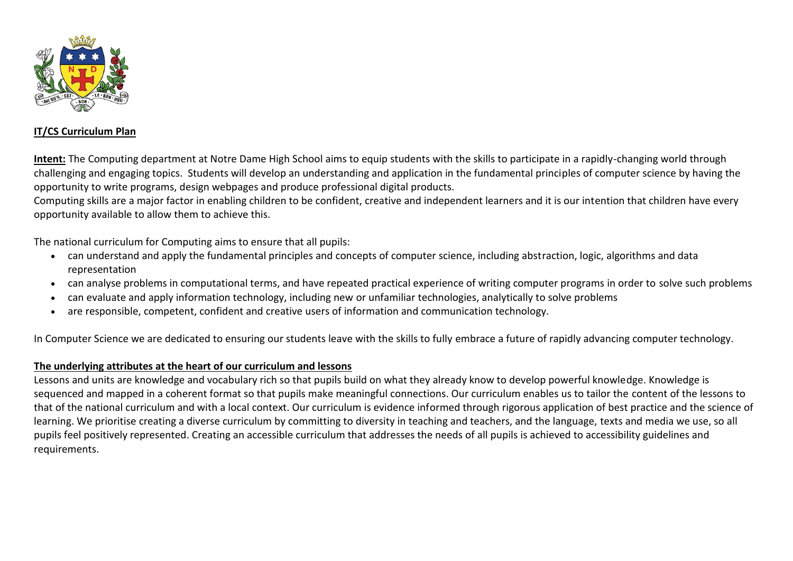

## **IT/CS Curriculum Plan**

**Intent:** The Computing department at Notre Dame High School aims to equip students with the skills to participate in a rapidly-changing world through challenging and engaging topics. Students will develop an understanding and application in the fundamental principles of computer science by having the opportunity to write programs, design webpages and produce professional digital products.

Computing skills are a major factor in enabling children to be confident, creative and independent learners and it is our intention that children have every opportunity available to allow them to achieve this.

The national curriculum for Computing aims to ensure that all pupils:

- can understand and apply the fundamental principles and concepts of computer science, including abstraction, logic, algorithms and data representation
- can analyse problems in computational terms, and have repeated practical experience of writing computer programs in order to solve such problems
- can evaluate and apply information technology, including new or unfamiliar technologies, analytically to solve problems
- are responsible, competent, confident and creative users of information and communication technology.

In Computer Science we are dedicated to ensuring our students leave with the skills to fully embrace a future of rapidly advancing computer technology.

## **The underlying attributes at the heart of our curriculum and lessons**

Lessons and units are knowledge and vocabulary rich so that pupils build on what they already know to develop powerful knowledge. Knowledge is sequenced and mapped in a coherent format so that pupils make meaningful connections. Our curriculum enables us to tailor the content of the lessons to that of the national curriculum and with a local context. Our curriculum is evidence informed through rigorous application of best practice and the science of learning. We prioritise creating a diverse curriculum by committing to diversity in teaching and teachers, and the language, texts and media we use, so all pupils feel positively represented. Creating an accessible curriculum that addresses the needs of all pupils is achieved to accessibility guidelines and requirements.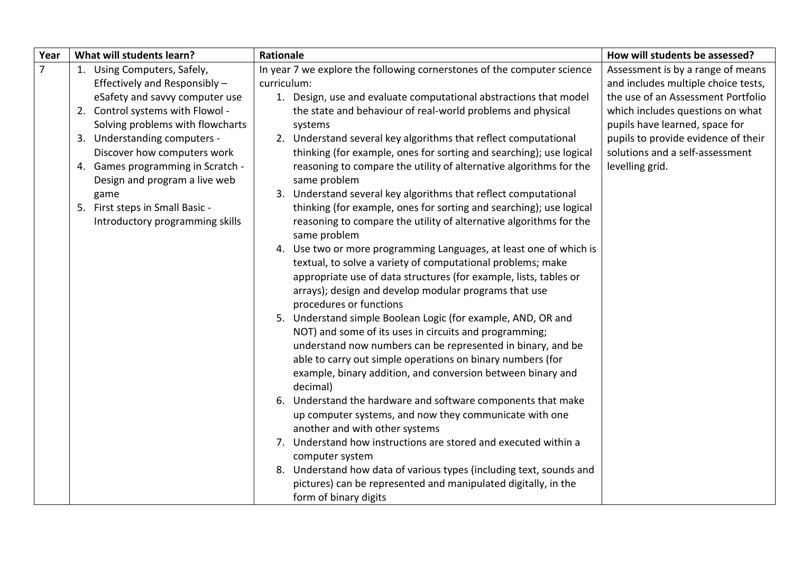| Year           | What will students learn?                                                                                                                                                                                                                                                                                                                                                                 | <b>Rationale</b>                                                                                                                                                                                                                                                                                                                                                                                                                                                                                                                                                                                                                                                                                                                                                                                                                                                                                                                                                                                                                                                                                                                                                                                                                                                                                                                                                                                                                                                                                                                                                                                                                                                                                                                                          | How will students be assessed?                                                                                                                                                                                                                                                    |  |
|----------------|-------------------------------------------------------------------------------------------------------------------------------------------------------------------------------------------------------------------------------------------------------------------------------------------------------------------------------------------------------------------------------------------|-----------------------------------------------------------------------------------------------------------------------------------------------------------------------------------------------------------------------------------------------------------------------------------------------------------------------------------------------------------------------------------------------------------------------------------------------------------------------------------------------------------------------------------------------------------------------------------------------------------------------------------------------------------------------------------------------------------------------------------------------------------------------------------------------------------------------------------------------------------------------------------------------------------------------------------------------------------------------------------------------------------------------------------------------------------------------------------------------------------------------------------------------------------------------------------------------------------------------------------------------------------------------------------------------------------------------------------------------------------------------------------------------------------------------------------------------------------------------------------------------------------------------------------------------------------------------------------------------------------------------------------------------------------------------------------------------------------------------------------------------------------|-----------------------------------------------------------------------------------------------------------------------------------------------------------------------------------------------------------------------------------------------------------------------------------|--|
| $\overline{7}$ | 1. Using Computers, Safely,<br>Effectively and Responsibly -<br>eSafety and savvy computer use<br>2. Control systems with Flowol -<br>Solving problems with flowcharts<br>3. Understanding computers -<br>Discover how computers work<br>4. Games programming in Scratch -<br>Design and program a live web<br>game<br>5. First steps in Small Basic -<br>Introductory programming skills | In year 7 we explore the following cornerstones of the computer science<br>curriculum:<br>1. Design, use and evaluate computational abstractions that model<br>the state and behaviour of real-world problems and physical<br>systems<br>2. Understand several key algorithms that reflect computational<br>thinking (for example, ones for sorting and searching); use logical<br>reasoning to compare the utility of alternative algorithms for the<br>same problem<br>3. Understand several key algorithms that reflect computational<br>thinking (for example, ones for sorting and searching); use logical<br>reasoning to compare the utility of alternative algorithms for the<br>same problem<br>4. Use two or more programming Languages, at least one of which is<br>textual, to solve a variety of computational problems; make<br>appropriate use of data structures (for example, lists, tables or<br>arrays); design and develop modular programs that use<br>procedures or functions<br>5. Understand simple Boolean Logic (for example, AND, OR and<br>NOT) and some of its uses in circuits and programming;<br>understand now numbers can be represented in binary, and be<br>able to carry out simple operations on binary numbers (for<br>example, binary addition, and conversion between binary and<br>decimal)<br>6. Understand the hardware and software components that make<br>up computer systems, and now they communicate with one<br>another and with other systems<br>7. Understand how instructions are stored and executed within a<br>computer system<br>8. Understand how data of various types (including text, sounds and<br>pictures) can be represented and manipulated digitally, in the<br>form of binary digits | Assessment is by a range of means<br>and includes multiple choice tests,<br>the use of an Assessment Portfolio<br>which includes questions on what<br>pupils have learned, space for<br>pupils to provide evidence of their<br>solutions and a self-assessment<br>levelling grid. |  |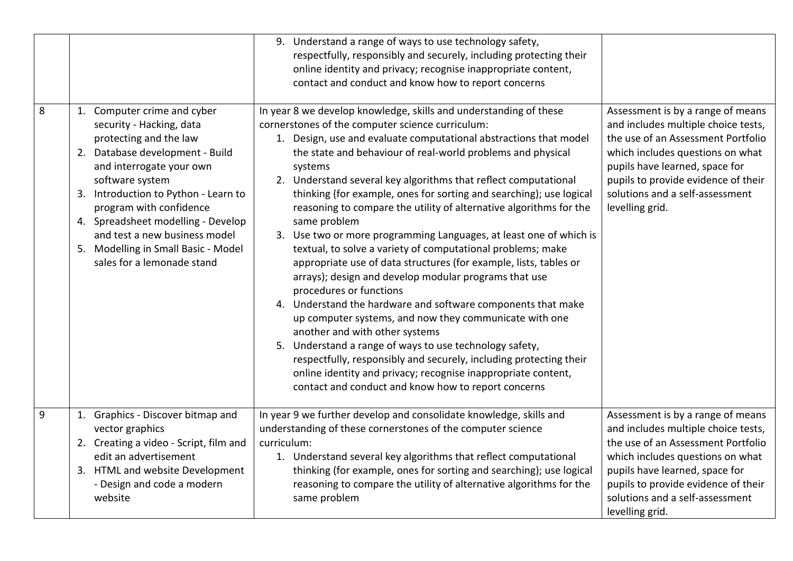|   |                                                                                                                                                                                                                                                                                                                                                                                    | Understand a range of ways to use technology safety,<br>9.<br>respectfully, responsibly and securely, including protecting their<br>online identity and privacy; recognise inappropriate content,<br>contact and conduct and know how to report concerns                                                                                                                                                                                                                                                                                                                                                                                                                                                                                                                                                                                                                                                                                                                                                                                                                                                                                                                                                                |                                                                                                                                                                                                                                                                                   |
|---|------------------------------------------------------------------------------------------------------------------------------------------------------------------------------------------------------------------------------------------------------------------------------------------------------------------------------------------------------------------------------------|-------------------------------------------------------------------------------------------------------------------------------------------------------------------------------------------------------------------------------------------------------------------------------------------------------------------------------------------------------------------------------------------------------------------------------------------------------------------------------------------------------------------------------------------------------------------------------------------------------------------------------------------------------------------------------------------------------------------------------------------------------------------------------------------------------------------------------------------------------------------------------------------------------------------------------------------------------------------------------------------------------------------------------------------------------------------------------------------------------------------------------------------------------------------------------------------------------------------------|-----------------------------------------------------------------------------------------------------------------------------------------------------------------------------------------------------------------------------------------------------------------------------------|
| 8 | 1. Computer crime and cyber<br>security - Hacking, data<br>protecting and the law<br>2. Database development - Build<br>and interrogate your own<br>software system<br>3. Introduction to Python - Learn to<br>program with confidence<br>4. Spreadsheet modelling - Develop<br>and test a new business model<br>5. Modelling in Small Basic - Model<br>sales for a lemonade stand | In year 8 we develop knowledge, skills and understanding of these<br>cornerstones of the computer science curriculum:<br>1. Design, use and evaluate computational abstractions that model<br>the state and behaviour of real-world problems and physical<br>systems<br>2. Understand several key algorithms that reflect computational<br>thinking (for example, ones for sorting and searching); use logical<br>reasoning to compare the utility of alternative algorithms for the<br>same problem<br>3. Use two or more programming Languages, at least one of which is<br>textual, to solve a variety of computational problems; make<br>appropriate use of data structures (for example, lists, tables or<br>arrays); design and develop modular programs that use<br>procedures or functions<br>4. Understand the hardware and software components that make<br>up computer systems, and now they communicate with one<br>another and with other systems<br>5. Understand a range of ways to use technology safety,<br>respectfully, responsibly and securely, including protecting their<br>online identity and privacy; recognise inappropriate content,<br>contact and conduct and know how to report concerns | Assessment is by a range of means<br>and includes multiple choice tests,<br>the use of an Assessment Portfolio<br>which includes questions on what<br>pupils have learned, space for<br>pupils to provide evidence of their<br>solutions and a self-assessment<br>levelling grid. |
| 9 | 1. Graphics - Discover bitmap and<br>vector graphics<br>2. Creating a video - Script, film and<br>edit an advertisement<br>3. HTML and website Development<br>- Design and code a modern<br>website                                                                                                                                                                                | In year 9 we further develop and consolidate knowledge, skills and<br>understanding of these cornerstones of the computer science<br>curriculum:<br>1. Understand several key algorithms that reflect computational<br>thinking (for example, ones for sorting and searching); use logical<br>reasoning to compare the utility of alternative algorithms for the<br>same problem                                                                                                                                                                                                                                                                                                                                                                                                                                                                                                                                                                                                                                                                                                                                                                                                                                        | Assessment is by a range of means<br>and includes multiple choice tests,<br>the use of an Assessment Portfolio<br>which includes questions on what<br>pupils have learned, space for<br>pupils to provide evidence of their<br>solutions and a self-assessment<br>levelling grid. |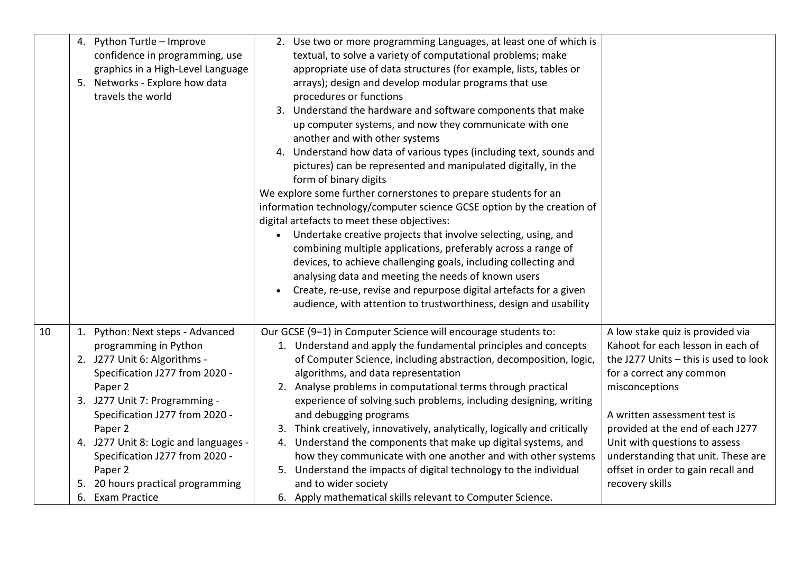|    | 4. Python Turtle - Improve<br>confidence in programming, use<br>graphics in a High-Level Language<br>5. Networks - Explore how data<br>travels the world                                                                                                                                                                                                         | 2. Use two or more programming Languages, at least one of which is<br>textual, to solve a variety of computational problems; make<br>appropriate use of data structures (for example, lists, tables or<br>arrays); design and develop modular programs that use<br>procedures or functions<br>3. Understand the hardware and software components that make<br>up computer systems, and now they communicate with one<br>another and with other systems<br>4. Understand how data of various types (including text, sounds and<br>pictures) can be represented and manipulated digitally, in the<br>form of binary digits<br>We explore some further cornerstones to prepare students for an<br>information technology/computer science GCSE option by the creation of<br>digital artefacts to meet these objectives:<br>• Undertake creative projects that involve selecting, using, and<br>combining multiple applications, preferably across a range of<br>devices, to achieve challenging goals, including collecting and<br>analysing data and meeting the needs of known users<br>Create, re-use, revise and repurpose digital artefacts for a given<br>audience, with attention to trustworthiness, design and usability |                                                                                                                                                                                                                                                                                                                                                                  |
|----|------------------------------------------------------------------------------------------------------------------------------------------------------------------------------------------------------------------------------------------------------------------------------------------------------------------------------------------------------------------|--------------------------------------------------------------------------------------------------------------------------------------------------------------------------------------------------------------------------------------------------------------------------------------------------------------------------------------------------------------------------------------------------------------------------------------------------------------------------------------------------------------------------------------------------------------------------------------------------------------------------------------------------------------------------------------------------------------------------------------------------------------------------------------------------------------------------------------------------------------------------------------------------------------------------------------------------------------------------------------------------------------------------------------------------------------------------------------------------------------------------------------------------------------------------------------------------------------------------------|------------------------------------------------------------------------------------------------------------------------------------------------------------------------------------------------------------------------------------------------------------------------------------------------------------------------------------------------------------------|
| 10 | 1. Python: Next steps - Advanced<br>programming in Python<br>2. J277 Unit 6: Algorithms -<br>Specification J277 from 2020 -<br>Paper 2<br>3. J277 Unit 7: Programming -<br>Specification J277 from 2020 -<br>Paper 2<br>4. J277 Unit 8: Logic and languages -<br>Specification J277 from 2020 -<br>Paper 2<br>20 hours practical programming<br>6. Exam Practice | Our GCSE (9-1) in Computer Science will encourage students to:<br>1. Understand and apply the fundamental principles and concepts<br>of Computer Science, including abstraction, decomposition, logic,<br>algorithms, and data representation<br>2. Analyse problems in computational terms through practical<br>experience of solving such problems, including designing, writing<br>and debugging programs<br>3. Think creatively, innovatively, analytically, logically and critically<br>4. Understand the components that make up digital systems, and<br>how they communicate with one another and with other systems<br>5. Understand the impacts of digital technology to the individual<br>and to wider society<br>6. Apply mathematical skills relevant to Computer Science.                                                                                                                                                                                                                                                                                                                                                                                                                                         | A low stake quiz is provided via<br>Kahoot for each lesson in each of<br>the J277 Units - this is used to look<br>for a correct any common<br>misconceptions<br>A written assessment test is<br>provided at the end of each J277<br>Unit with questions to assess<br>understanding that unit. These are<br>offset in order to gain recall and<br>recovery skills |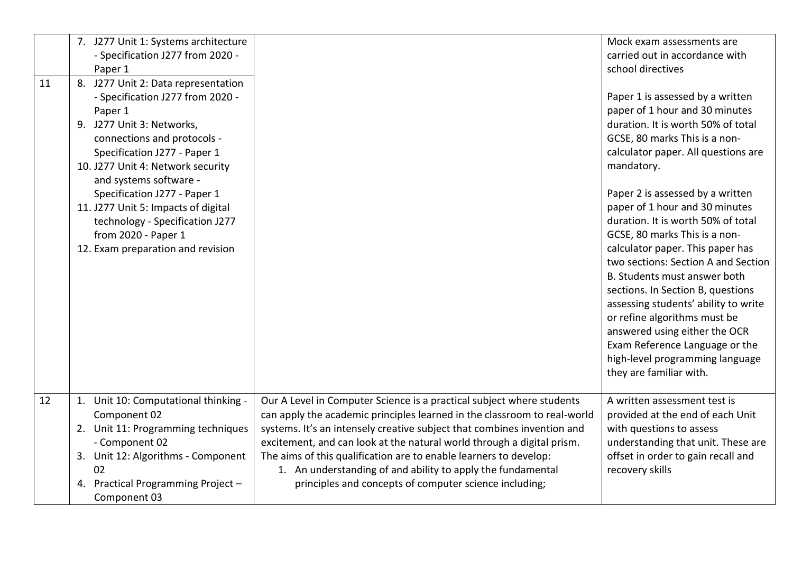| 11 | 7. J277 Unit 1: Systems architecture<br>- Specification J277 from 2020 -<br>Paper 1<br>8. J277 Unit 2: Data representation<br>- Specification J277 from 2020 -<br>Paper 1<br>9. J277 Unit 3: Networks,<br>connections and protocols -<br>Specification J277 - Paper 1<br>10. J277 Unit 4: Network security |                                                                                                                                                                                                                                                                                                                                                                                                                                                                                                      | Mock exam assessments are<br>carried out in accordance with<br>school directives<br>Paper 1 is assessed by a written<br>paper of 1 hour and 30 minutes<br>duration. It is worth 50% of total<br>GCSE, 80 marks This is a non-<br>calculator paper. All questions are<br>mandatory.                                                                                                                                                                                                                 |
|----|------------------------------------------------------------------------------------------------------------------------------------------------------------------------------------------------------------------------------------------------------------------------------------------------------------|------------------------------------------------------------------------------------------------------------------------------------------------------------------------------------------------------------------------------------------------------------------------------------------------------------------------------------------------------------------------------------------------------------------------------------------------------------------------------------------------------|----------------------------------------------------------------------------------------------------------------------------------------------------------------------------------------------------------------------------------------------------------------------------------------------------------------------------------------------------------------------------------------------------------------------------------------------------------------------------------------------------|
|    | and systems software -<br>Specification J277 - Paper 1<br>11. J277 Unit 5: Impacts of digital<br>technology - Specification J277<br>from 2020 - Paper 1<br>12. Exam preparation and revision                                                                                                               |                                                                                                                                                                                                                                                                                                                                                                                                                                                                                                      | Paper 2 is assessed by a written<br>paper of 1 hour and 30 minutes<br>duration. It is worth 50% of total<br>GCSE, 80 marks This is a non-<br>calculator paper. This paper has<br>two sections: Section A and Section<br>B. Students must answer both<br>sections. In Section B, questions<br>assessing students' ability to write<br>or refine algorithms must be<br>answered using either the OCR<br>Exam Reference Language or the<br>high-level programming language<br>they are familiar with. |
| 12 | 1. Unit 10: Computational thinking -<br>Component 02<br>2. Unit 11: Programming techniques<br>- Component 02<br>3. Unit 12: Algorithms - Component<br>02<br>Practical Programming Project -<br>4.<br>Component 03                                                                                          | Our A Level in Computer Science is a practical subject where students<br>can apply the academic principles learned in the classroom to real-world<br>systems. It's an intensely creative subject that combines invention and<br>excitement, and can look at the natural world through a digital prism.<br>The aims of this qualification are to enable learners to develop:<br>1. An understanding of and ability to apply the fundamental<br>principles and concepts of computer science including; | A written assessment test is<br>provided at the end of each Unit<br>with questions to assess<br>understanding that unit. These are<br>offset in order to gain recall and<br>recovery skills                                                                                                                                                                                                                                                                                                        |